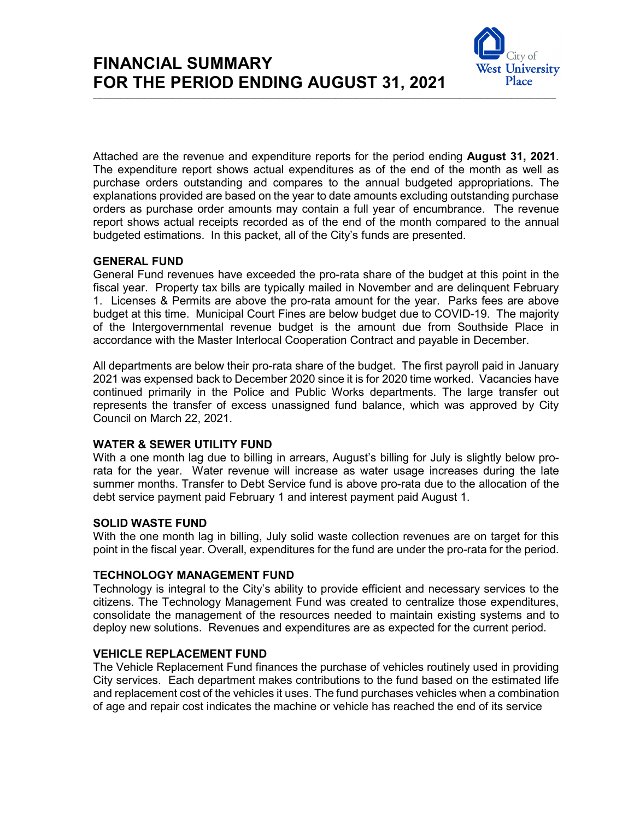

Attached are the revenue and expenditure reports for the period ending **August 31, 2021**. The expenditure report shows actual expenditures as of the end of the month as well as purchase orders outstanding and compares to the annual budgeted appropriations. The explanations provided are based on the year to date amounts excluding outstanding purchase orders as purchase order amounts may contain a full year of encumbrance. The revenue report shows actual receipts recorded as of the end of the month compared to the annual budgeted estimations. In this packet, all of the City's funds are presented.

# **GENERAL FUND**

General Fund revenues have exceeded the pro-rata share of the budget at this point in the fiscal year. Property tax bills are typically mailed in November and are delinquent February 1. Licenses & Permits are above the pro-rata amount for the year. Parks fees are above budget at this time. Municipal Court Fines are below budget due to COVID-19. The majority of the Intergovernmental revenue budget is the amount due from Southside Place in accordance with the Master Interlocal Cooperation Contract and payable in December.

All departments are below their pro-rata share of the budget. The first payroll paid in January 2021 was expensed back to December 2020 since it is for 2020 time worked. Vacancies have continued primarily in the Police and Public Works departments. The large transfer out represents the transfer of excess unassigned fund balance, which was approved by City Council on March 22, 2021.

# **WATER & SEWER UTILITY FUND**

With a one month lag due to billing in arrears, August's billing for July is slightly below prorata for the year. Water revenue will increase as water usage increases during the late summer months. Transfer to Debt Service fund is above pro-rata due to the allocation of the debt service payment paid February 1 and interest payment paid August 1.

# **SOLID WASTE FUND**

With the one month lag in billing, July solid waste collection revenues are on target for this point in the fiscal year. Overall, expenditures for the fund are under the pro-rata for the period.

# **TECHNOLOGY MANAGEMENT FUND**

Technology is integral to the City's ability to provide efficient and necessary services to the citizens. The Technology Management Fund was created to centralize those expenditures, consolidate the management of the resources needed to maintain existing systems and to deploy new solutions. Revenues and expenditures are as expected for the current period.

# **VEHICLE REPLACEMENT FUND**

The Vehicle Replacement Fund finances the purchase of vehicles routinely used in providing City services. Each department makes contributions to the fund based on the estimated life and replacement cost of the vehicles it uses. The fund purchases vehicles when a combination of age and repair cost indicates the machine or vehicle has reached the end of its service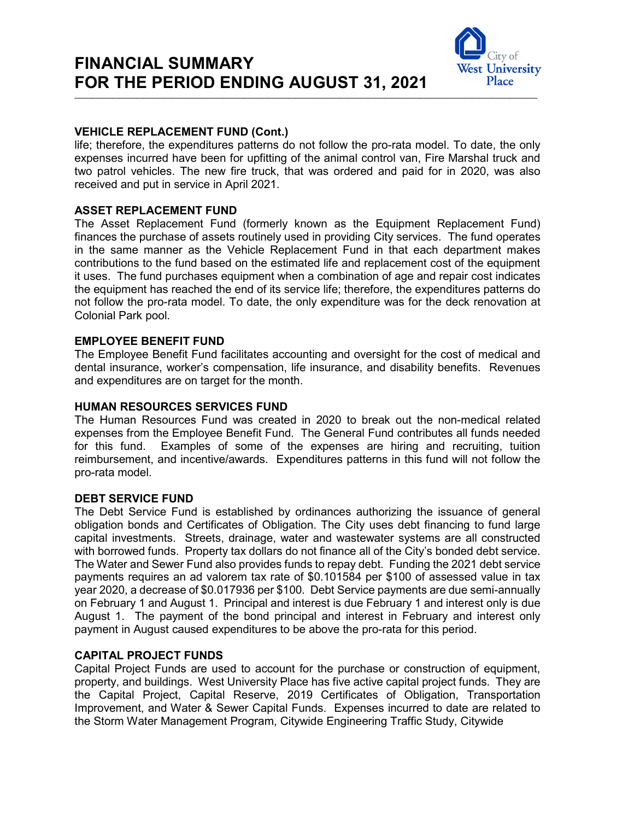

# **VEHICLE REPLACEMENT FUND (Cont.)**

life; therefore, the expenditures patterns do not follow the pro-rata model. To date, the only expenses incurred have been for upfitting of the animal control van, Fire Marshal truck and two patrol vehicles. The new fire truck, that was ordered and paid for in 2020, was also received and put in service in April 2021.

**\_\_\_\_\_\_\_\_\_\_\_\_\_\_\_\_\_\_\_\_\_\_\_\_\_\_\_\_\_\_\_\_\_\_\_\_\_\_\_\_\_\_\_\_\_\_\_\_\_\_\_\_\_\_\_\_\_\_\_\_\_\_\_\_\_\_\_\_\_\_\_\_\_\_\_\_\_\_\_\_\_\_\_\_\_\_\_\_\_\_\_\_\_\_\_\_\_\_\_\_\_\_\_\_\_\_\_\_\_\_\_\_\_\_\_\_\_\_\_\_\_\_\_\_\_\_\_\_\_\_\_\_\_\_**

# **ASSET REPLACEMENT FUND**

The Asset Replacement Fund (formerly known as the Equipment Replacement Fund) finances the purchase of assets routinely used in providing City services. The fund operates in the same manner as the Vehicle Replacement Fund in that each department makes contributions to the fund based on the estimated life and replacement cost of the equipment it uses. The fund purchases equipment when a combination of age and repair cost indicates the equipment has reached the end of its service life; therefore, the expenditures patterns do not follow the pro-rata model. To date, the only expenditure was for the deck renovation at Colonial Park pool.

#### **EMPLOYEE BENEFIT FUND**

The Employee Benefit Fund facilitates accounting and oversight for the cost of medical and dental insurance, worker's compensation, life insurance, and disability benefits. Revenues and expenditures are on target for the month.

#### **HUMAN RESOURCES SERVICES FUND**

The Human Resources Fund was created in 2020 to break out the non-medical related expenses from the Employee Benefit Fund. The General Fund contributes all funds needed for this fund. Examples of some of the expenses are hiring and recruiting, tuition reimbursement, and incentive/awards. Expenditures patterns in this fund will not follow the pro-rata model.

#### **DEBT SERVICE FUND**

The Debt Service Fund is established by ordinances authorizing the issuance of general obligation bonds and Certificates of Obligation. The City uses debt financing to fund large capital investments. Streets, drainage, water and wastewater systems are all constructed with borrowed funds. Property tax dollars do not finance all of the City's bonded debt service. The Water and Sewer Fund also provides funds to repay debt. Funding the 2021 debt service payments requires an ad valorem tax rate of \$0.101584 per \$100 of assessed value in tax year 2020, a decrease of \$0.017936 per \$100. Debt Service payments are due semi-annually on February 1 and August 1. Principal and interest is due February 1 and interest only is due August 1. The payment of the bond principal and interest in February and interest only payment in August caused expenditures to be above the pro-rata for this period.

### **CAPITAL PROJECT FUNDS**

Capital Project Funds are used to account for the purchase or construction of equipment, property, and buildings. West University Place has five active capital project funds. They are the Capital Project, Capital Reserve, 2019 Certificates of Obligation, Transportation Improvement, and Water & Sewer Capital Funds. Expenses incurred to date are related to the Storm Water Management Program, Citywide Engineering Traffic Study, Citywide